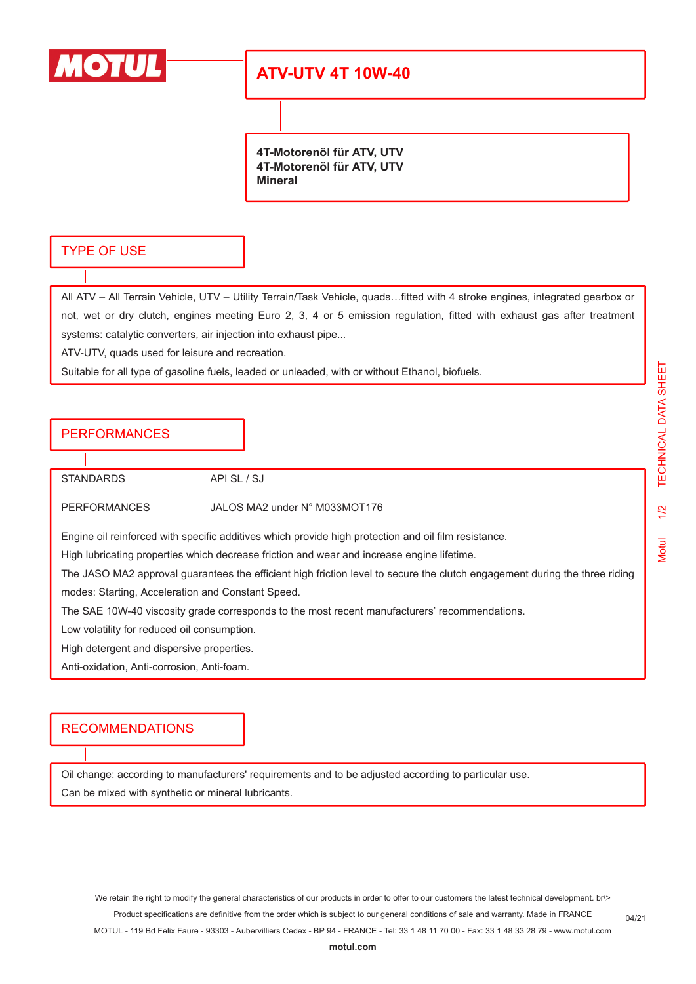

# **ATV-UTV 4T 10W-40**

**4T-Motorenöl für ATV, UTV 4T-Motorenöl für ATV, UTV Mineral**

#### TYPE OF USE

All ATV – All Terrain Vehicle, UTV – Utility Terrain/Task Vehicle, quads…fitted with 4 stroke engines, integrated gearbox or not, wet or dry clutch, engines meeting Euro 2, 3, 4 or 5 emission regulation, fitted with exhaust gas after treatment systems: catalytic converters, air injection into exhaust pipe...

ATV-UTV, quads used for leisure and recreation.

Suitable for all type of gasoline fuels, leaded or unleaded, with or without Ethanol, biofuels.

### PERFORMANCES

STANDARDS API SL / SJ

PERFORMANCES JALOS MA2 under N° M033MOT176

Engine oil reinforced with specific additives which provide high protection and oil film resistance.

High lubricating properties which decrease friction and wear and increase engine lifetime.

The JASO MA2 approval guarantees the efficient high friction level to secure the clutch engagement during the three riding modes: Starting, Acceleration and Constant Speed.

The SAE 10W-40 viscosity grade corresponds to the most recent manufacturers' recommendations.

Low volatility for reduced oil consumption.

High detergent and dispersive properties.

Anti-oxidation, Anti-corrosion, Anti-foam.

#### RECOMMENDATIONS

Oil change: according to manufacturers' requirements and to be adjusted according to particular use. Can be mixed with synthetic or mineral lubricants.

We retain the right to modify the general characteristics of our products in order to offer to our customers the latest technical development. br\> Product specifications are definitive from the order which is subject to our general conditions of sale and warranty. Made in FRANCE MOTUL - 119 Bd Félix Faure - 93303 - Aubervilliers Cedex - BP 94 - FRANCE - Tel: 33 1 48 11 70 00 - Fax: 33 1 48 33 28 79 - www.motul.com